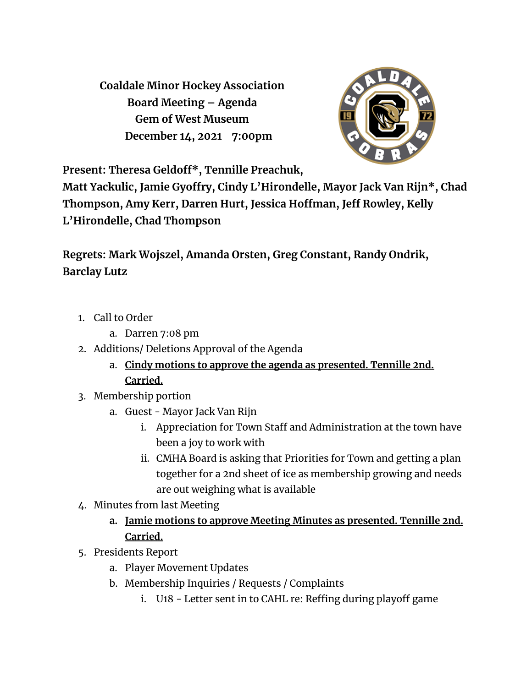**Coaldale Minor Hockey Association Board Meeting – Agenda Gem of West Museum December 14, 2021 7:00pm**



**Present: Theresa Geldoff\* , Tennille Preachuk,**

**Matt Yackulic, Jamie Gyoffry, Cindy L'Hirondelle, Mayor Jack Van Rijn\* , Chad Thompson, Amy Kerr, Darren Hurt, Jessica Hoffman, Jeff Rowley, Kelly L'Hirondelle, Chad Thompson**

**Regrets: Mark Wojszel, Amanda Orsten, Greg Constant, Randy Ondrik, Barclay Lutz**

- 1. Call to Order
	- a. Darren 7:08 pm
- 2. Additions/ Deletions Approval of the Agenda
	- a. **Cindy motions to approve the agenda as presented. Tennille 2nd. Carried.**
- 3. Membership portion
	- a. Guest Mayor Jack Van Rijn
		- i. Appreciation for Town Staff and Administration at the town have been a joy to work with
		- ii. CMHA Board is asking that Priorities for Town and getting a plan together for a 2nd sheet of ice as membership growing and needs are out weighing what is available
- 4. Minutes from last Meeting
	- **a. Jamie motions to approve Meeting Minutes as presented. Tennille 2nd. Carried.**
- 5. Presidents Report
	- a. Player Movement Updates
	- b. Membership Inquiries / Requests / Complaints
		- i. U18 Letter sent in to CAHL re: Reffing during playoff game